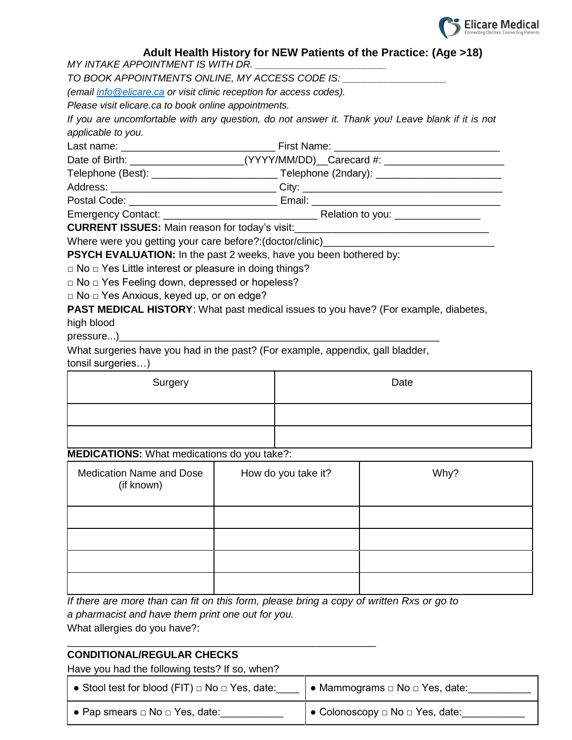

# **Adult Health History for NEW Patients of the Practice: (Age >18)**

*MY INTAKE APPOINTMENT IS WITH DR.* 

*TO BOOK APPOINTMENTS ONLINE, MY ACCESS CODE IS: \_\_\_\_\_\_\_\_\_\_\_\_\_\_\_\_\_\_\_*

*(email [info@elicare.ca](mailto:info@elicare.ca) or visit clinic reception for access codes).* 

*Please visit elicare.ca to book online appointments.*

*If you are uncomfortable with any question, do not answer it. Thank you! Leave blank if it is not applicable to you.*

Last name: \_\_\_\_\_\_\_\_\_\_\_\_\_\_\_\_\_\_\_\_\_\_\_\_\_\_\_ First Name: \_\_\_\_\_\_\_\_\_\_\_\_\_\_\_\_\_\_\_\_\_\_\_\_\_\_\_\_\_ Date of Birth: \_\_\_\_\_\_\_\_\_\_\_\_\_\_\_\_\_\_\_\_\_\_\_\_(YYYY/MM/DD)\_\_Carecard #: Telephone (Best): \_\_\_\_\_\_\_\_\_\_\_\_\_\_\_\_\_\_\_\_\_\_\_\_\_\_\_\_\_\_\_\_\_Telephone (2ndary): \_\_\_\_\_\_\_\_\_\_\_\_\_\_\_\_\_\_\_\_\_\_\_\_\_\_\_\_ Address: \_\_\_\_\_\_\_\_\_\_\_\_\_\_\_\_\_\_\_\_\_\_\_\_\_\_\_\_\_ City: \_\_\_\_\_\_\_\_\_\_\_\_\_\_\_\_\_\_\_\_\_\_\_\_\_\_\_\_\_\_\_\_\_\_\_

Postal Code:  $\blacksquare$  Email:  $\blacksquare$ 

Emergency Contact: \_\_\_\_\_\_\_\_\_\_\_\_\_\_\_\_\_\_\_\_\_\_\_\_\_\_\_ Relation to you: \_\_\_\_\_\_\_\_\_\_\_\_\_\_\_

**CURRENT ISSUES:** Main reason for today's visit:

Where were you getting your care before?:(doctor/clinic)\_\_\_\_\_\_\_\_\_\_

**PSYCH EVALUATION:** In the past 2 weeks, have you been bothered by:

□ No □ Yes Little interest or pleasure in doing things?

□ No □ Yes Feeling down, depressed or hopeless?

□ No □ Yes Anxious, keyed up, or on edge?

**PAST MEDICAL HISTORY:** What past medical issues to you have? (For example, diabetes,

high blood

pressure...)

What surgeries have you had in the past? (For example, appendix, gall bladder, tonsil surgeries…)

| Surgery | Date |
|---------|------|
|         |      |
|         |      |

#### **MEDICATIONS:** What medications do you take?:

| <b>Medication Name and Dose</b><br>(if known) | How do you take it? | Why? |
|-----------------------------------------------|---------------------|------|
|                                               |                     |      |
|                                               |                     |      |
|                                               |                     |      |
|                                               |                     |      |

*If there are more than can fit on this form, please bring a copy of written Rxs or go to a pharmacist and have them print one out for you.*

What allergies do you have?: \_\_\_\_\_\_\_\_\_\_\_\_\_\_\_\_\_\_\_\_\_\_\_\_\_\_\_\_\_\_\_\_\_\_\_\_\_\_\_\_\_\_\_\_\_\_\_\_\_\_\_\_\_\_

# **CONDITIONAL/REGULAR CHECKS**

Have you had the following tests? If so, when?

| • Stool test for blood (FIT) $\Box$ No $\Box$ Yes, date: | • Mammograms $\Box$ No $\Box$ Yes, date: |
|----------------------------------------------------------|------------------------------------------|
| $\bullet$ Pap smears $\Box$ No $\Box$ Yes, date:         | O Colonoscopy □ No □ Yes, date:          |